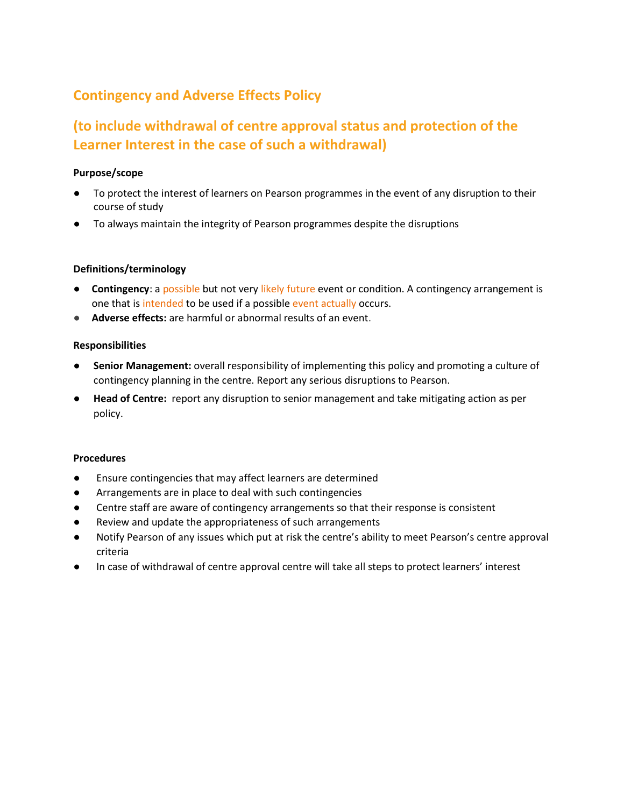# **Contingency and Adverse Effects Policy**

# **(to include withdrawal of centre approval status and protection of the Learner Interest in the case of such a withdrawal)**

# **Purpose/scope**

- To protect the interest of learners on Pearson programmes in the event of any disruption to their course of study
- To always maintain the integrity of Pearson programmes despite the disruptions

# **Definitions/terminology**

- **Contingency**: a [possible](https://www.collinsdictionary.com/dictionary/english/possible) but not very [likely](https://www.collinsdictionary.com/dictionary/english/likely) [future](https://www.collinsdictionary.com/dictionary/english/future) event or condition. A contingency arrangement is one that is [intended](https://www.collinsdictionary.com/dictionary/english/intended) to be used if a possible [event](https://www.collinsdictionary.com/dictionary/english/situation) [actually](https://www.collinsdictionary.com/dictionary/english/actually) occurs.
- **Adverse effects:** are harmful or abnormal results of an event.

#### **Responsibilities**

- **Senior Management:** overall responsibility of implementing this policy and promoting a culture of contingency planning in the centre. Report any serious disruptions to Pearson.
- **Head of Centre:** report any disruption to senior management and take mitigating action as per policy.

#### **Procedures**

- Ensure contingencies that may affect learners are determined
- Arrangements are in place to deal with such contingencies
- Centre staff are aware of contingency arrangements so that their response is consistent
- Review and update the appropriateness of such arrangements
- Notify Pearson of any issues which put at risk the centre's ability to meet Pearson's centre approval criteria
- In case of withdrawal of centre approval centre will take all steps to protect learners' interest